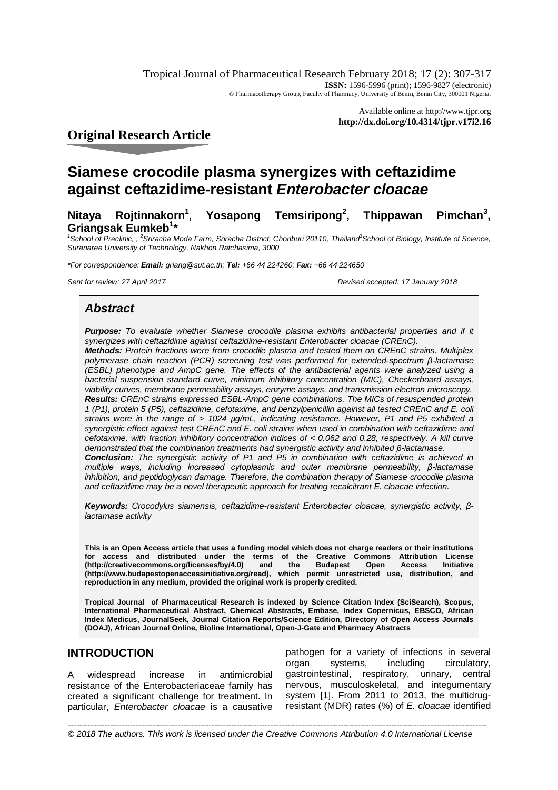Tropical Journal of Pharmaceutical Research February 2018; 17 (2): 307-317 **ISSN:** 1596-5996 (print); 1596-9827 (electronic) © Pharmacotherapy Group, Faculty of Pharmacy, University of Benin, Benin City, 300001 Nigeria.

> Available online at <http://www.tjpr.org> **<http://dx.doi.org/10.4314/tjpr.v17i2.16>**

**Original Research Article**

# **Siamese crocodile plasma synergizes with ceftazidime against ceftazidime-resistant** *Enterobacter cloacae*

**Nitaya Rojtinnakorn<sup>1</sup> , Yosapong Temsiripong<sup>2</sup> , Thippawan Pimchan<sup>3</sup>** Pimchan<sup>3</sup>, **Griangsak Eumkeb<sup>1</sup> \***

*1 School of Preclinic, , <sup>2</sup> Sriracha Moda Farm, Sriracha District, Chonburi 20110, Thailand<sup>3</sup> School of Biology, Institute of Science, Suranaree University of Technology, Nakhon Ratchasima, 3000*

*\*For correspondence: Email: [griang@sut.ac.th;](mailto:griang@sut.ac.th;) Tel: +66 44 224260; Fax: +66 44 224650*

*Sent for review: 27 April 2017 Revised accepted: 17 January 2018*

## *Abstract*

**Purpose:** To evaluate whether Siamese crocodile plasma exhibits antibacterial properties and if it *synergizes with ceftazidime against ceftazidime-resistant Enterobacter cloacae (CREnC).* 

*Methods: Protein fractions were from crocodile plasma and tested them on CREnC strains. Multiplex polymerase chain reaction (PCR) screening test was performed for extended-spectrum β-lactamase (ESBL) phenotype and AmpC gene. The effects of the antibacterial agents were analyzed using a bacterial suspension standard curve, minimum inhibitory concentration (MIC), Checkerboard assays, viability curves, membrane permeability assays, enzyme assays, and transmission electron microscopy. Results: CREnC strains expressed ESBL-AmpC gene combinations. The MICs of resuspended protein 1 (P1), protein 5 (P5), ceftazidime, cefotaxime, and benzylpenicillin against all tested CREnC and E. coli strains were in the range of > 1024 µg/mL, indicating resistance. However, P1 and P5 exhibited a synergistic effect against test CREnC and E. coli strains when used in combination with ceftazidime and cefotaxime, with fraction inhibitory concentration indices of < 0.062 and 0.28, respectively. A kill curve demonstrated that the combination treatments had synergistic activity and inhibited β-lactamase.* 

*Conclusion: The synergistic activity of P1 and P5 in combination with ceftazidime is achieved in multiple ways, including increased cytoplasmic and outer membrane permeability, β-lactamase inhibition, and peptidoglycan damage. Therefore, the combination therapy of Siamese crocodile plasma and ceftazidime may be a novel therapeutic approach for treating recalcitrant E. cloacae infection.*

*Keywords: Crocodylus siamensis, ceftazidime-resistant Enterobacter cloacae, synergistic activity, βlactamase activity*

**This is an Open Access article that uses a funding model which does not charge readers or their institutions for access and distributed under the terms of the Creative Commons Attribution License [\(http://creativecommons.org/licenses/by/4.0\)](http://creativecommons.org/licenses/by/4.0)) and the Budapest Open Access Initiative [\(http://www.budapestopenaccessinitiative.org/read\),](http://www.budapestopenaccessinitiative.org/read),) which permit unrestricted use, distribution, and reproduction in any medium, provided the original work is properly credited.**

**Tropical Journal of Pharmaceutical Research is indexed by Science Citation Index (SciSearch), Scopus, International Pharmaceutical Abstract, Chemical Abstracts, Embase, Index Copernicus, EBSCO, African Index Medicus, JournalSeek, Journal Citation Reports/Science Edition, Directory of Open Access Journals (DOAJ), African Journal Online, Bioline International, Open-J-Gate and Pharmacy Abstracts**

## **INTRODUCTION**

A widespread increase in antimicrobial resistance of the Enterobacteriaceae family has created a significant challenge for treatment. In particular, *Enterobacter cloacae* is a causative

pathogen for a variety of infections in several organ systems, including circulatory, gastrointestinal, respiratory, urinary, central nervous, musculoskeletal, and integumentary system [1]. From 2011 to 2013, the multidrugresistant (MDR) rates (%) of *E. cloacae* identified

*Trop J Pharm Res, February 2018; 17(2):* 307 *© 2018 The authors. This work is licensed under the Creative Commons Attribution 4.0 International License-----------------------------------------------------------------------------------------------------------------------------------------------------*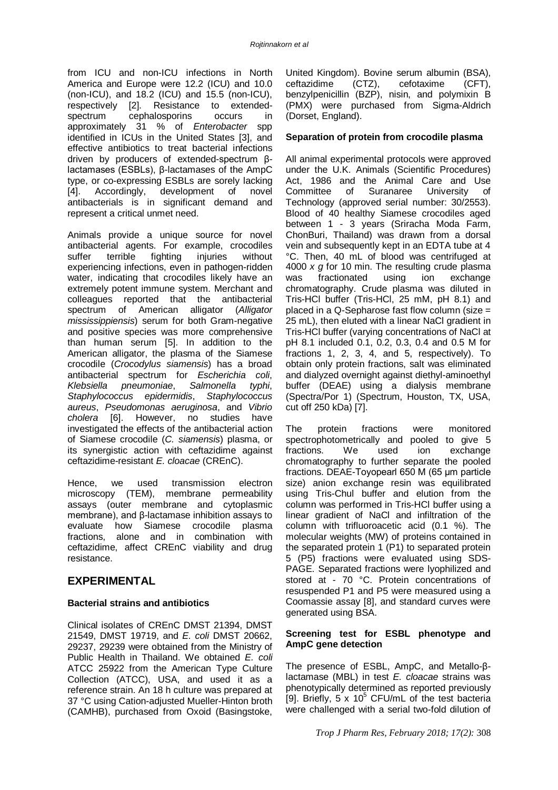from ICU and non-ICU infections in North America and Europe were 12.2 (ICU) and 10.0 (non-ICU), and 18.2 (ICU) and 15.5 (non-ICU), respectively [2]. Resistance to extendedspectrum cephalosporins occurs in approximately 31 % of *Enterobacter* spp identified in ICUs in the United States [3], and effective antibiotics to treat bacterial infections driven by producers of extended-spectrum βlactamases (ESBLs), β-lactamases of the AmpC type, or co-expressing ESBLs are sorely lacking [4]. Accordingly, development of novel antibacterials is in significant demand and represent a critical unmet need.

Animals provide a unique source for novel antibacterial agents. For example, crocodiles suffer terrible fighting injuries without experiencing infections, even in pathogen-ridden water, indicating that crocodiles likely have an extremely potent immune system. Merchant and colleagues reported that the antibacterial spectrum of American alligator (*Alligator mississippiensis*) serum for both Gram-negative and positive species was more comprehensive than human serum [5]. In addition to the American alligator, the plasma of the Siamese crocodile (*Crocodylus siamensis*) has a broad antibacterial spectrum for *Escherichia coli*, *Klebsiella pneumoniae*, *Salmonella typhi*, *Staphylococcus epidermidis*, *Staphylococcus aureus*, *Pseudomonas aeruginosa*, and *Vibrio cholera* [6]. However, no studies have investigated the effects of the antibacterial action of Siamese crocodile (*C. siamensis*) plasma, or its synergistic action with ceftazidime against ceftazidime-resistant *E. cloacae* (CREnC).

Hence, we used transmission electron microscopy (TEM), membrane permeability assays (outer membrane and cytoplasmic membrane), and β-lactamase inhibition assays to evaluate how Siamese crocodile plasma fractions, alone and in combination with ceftazidime, affect CREnC viability and drug resistance.

## **EXPERIMENTAL**

#### **Bacterial strains and antibiotics**

Clinical isolates of CREnC DMST 21394, DMST 21549, DMST 19719, and *E. coli* DMST 20662, 29237, 29239 were obtained from the Ministry of Public Health in Thailand. We obtained *E. coli* ATCC 25922 from the American Type Culture Collection (ATCC), USA, and used it as a reference strain. An 18 h culture was prepared at 37 °C using Cation-adjusted Mueller-Hinton broth (CAMHB), purchased from Oxoid (Basingstoke,

United Kingdom). Bovine serum albumin (BSA), ceftazidime (CTZ), cefotaxime (CFT), benzylpenicillin (BZP), nisin, and polymixin B (PMX) were purchased from Sigma-Aldrich (Dorset, England).

#### **Separation of protein from crocodile plasma**

All animal experimental protocols were approved under the U.K. Animals (Scientific Procedures) Act, 1986 and the Animal Care and Use Committee of Suranaree University of Technology (approved serial number: 30/2553). Blood of 40 healthy Siamese crocodiles aged between 1 - 3 years (Sriracha Moda Farm, ChonBuri, Thailand) was drawn from a dorsal vein and subsequently kept in an EDTA tube at 4 °C. Then, 40 mL of blood was centrifuged at 4000 *x g* for 10 min. The resulting crude plasma was fractionated using ion exchange chromatography. Crude plasma was diluted in Tris-HCl buffer (Tris-HCl, 25 mM, pH 8.1) and placed in a Q-Sepharose fast flow column (size = 25 mL), then eluted with a linear NaCl gradient in Tris-HCl buffer (varying concentrations of NaCl at pH 8.1 included 0.1, 0.2, 0.3, 0.4 and 0.5 M for fractions 1, 2, 3, 4, and 5, respectively). To obtain only protein fractions, salt was eliminated and dialyzed overnight against diethyl-aminoethyl buffer (DEAE) using a dialysis membrane (Spectra/Por 1) (Spectrum, Houston, TX, USA, cut off 250 kDa) [7].

The protein fractions were monitored spectrophotometrically and pooled to give 5 fractions. We used ion exchange chromatography to further separate the pooled fractions. DEAE-Toyopearl 650 M (65 μm particle size) anion exchange resin was equilibrated using Tris-Chul buffer and elution from the column was performed in Tris-HCl buffer using a linear gradient of NaCl and infiltration of the column with trifluoroacetic acid (0.1 %). The molecular weights (MW) of proteins contained in the separated protein 1 (P1) to separated protein 5 (P5) fractions were evaluated using SDS-PAGE. Separated fractions were lyophilized and stored at - 70 °C. Protein concentrations of resuspended P1 and P5 were measured using a Coomassie assay [8], and standard curves were generated using BSA.

#### **Screening test for ESBL phenotype and AmpC gene detection**

The presence of ESBL, AmpC, and Metallo-βlactamase (MBL) in test *E. cloacae* strains was phenotypically determined as reported previously [9]. Briefly,  $5 \times 10^5$  CFU/mL of the test bacteria were challenged with a serial two-fold dilution of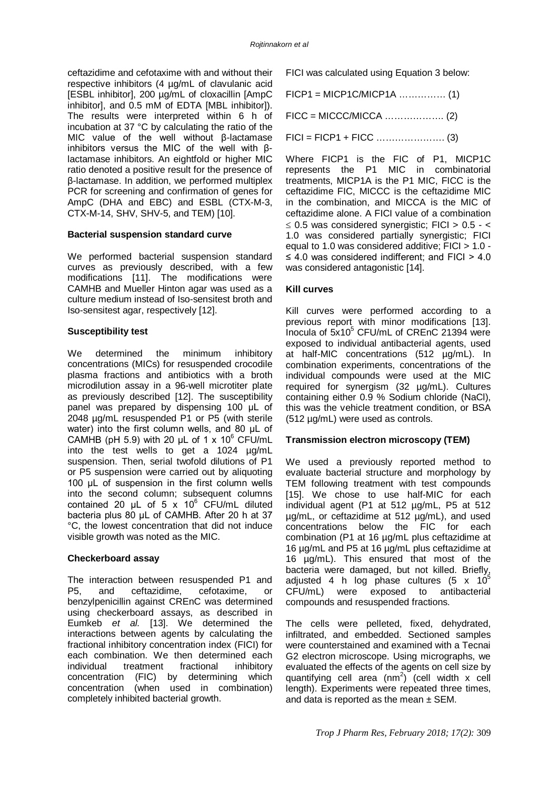ceftazidime and cefotaxime with and without their respective inhibitors (4 µg/mL of clavulanic acid [ESBL inhibitor], 200 µg/mL of cloxacillin [AmpC inhibitor], and 0.5 mM of EDTA [MBL inhibitor]). The results were interpreted within 6 h of incubation at 37 °C by calculating the ratio of the MIC value of the well without β-lactamase inhibitors versus the MIC of the well with βlactamase inhibitors. An eightfold or higher MIC ratio denoted a positive result for the presence of β-lactamase. In addition, we performed multiplex PCR for screening and confirmation of genes for AmpC (DHA and EBC) and ESBL (CTX-M-3, CTX-M-14, SHV, SHV-5, and TEM) [10].

#### **Bacterial suspension standard curve**

We performed bacterial suspension standard curves as previously described, with a few modifications [11]. The modifications were CAMHB and Mueller Hinton agar was used as a culture medium instead of Iso-sensitest broth and Iso-sensitest agar, respectively [12].

## **Susceptibility test**

We determined the minimum inhibitory concentrations (MICs) for resuspended crocodile plasma fractions and antibiotics with a broth microdilution assay in a 96-well microtiter plate as previously described [12]. The susceptibility panel was prepared by dispensing 100 μL of 2048 µg/mL resuspended P1 or P5 (with sterile water) into the first column wells, and 80 µL of CAMHB (pH 5.9) with 20  $\mu$ L of 1 x 10<sup>6</sup> CFU/mL into the test wells to get a 1024 µg/mL suspension. Then, serial twofold dilutions of P1 or P5 suspension were carried out by aliquoting 100 μL of suspension in the first column wells into the second column; subsequent columns contained 20  $\mu$ L of 5 x 10<sup>6</sup> CFU/mL diluted bacteria plus 80 μL of CAMHB. After 20 h at 37 °C, the lowest concentration that did not induce visible growth was noted as the MIC.

## **Checkerboard assay**

The interaction between resuspended P1 and P5, and ceftazidime, cefotaxime, or benzylpenicillin against CREnC was determined using checkerboard assays, as described in Eumkeb *et al.* [13]. We determined the interactions between agents by calculating the fractional inhibitory concentration index (FICI) for each combination. We then determined each individual treatment fractional inhibitory concentration (FIC) by determining which concentration (when used in combination) completely inhibited bacterial growth.

FICI was calculated using Equation 3 below:

 $FICP1 = MICP1C/MICP1A$  ............... (1)

FICC = MICCC/MICCA ………………. (2)

FICI = FICP1 + FICC …………………. (3)

Where FICP1 is the FIC of P1, MICP1C represents the P1 MIC in combinatorial treatments, MICP1A is the P1 MIC, FICC is the ceftazidime FIC, MICCC is the ceftazidime MIC in the combination, and MICCA is the MIC of ceftazidime alone. A FICI value of a combination  $\leq$  0.5 was considered synergistic: FICI  $>$  0.5 - < 1.0 was considered partially synergistic; FICI equal to 1.0 was considered additive; FICI > 1.0 - ≤ 4.0 was considered indifferent; and FICI > 4.0 was considered antagonistic [14].

#### **Kill curves**

Kill curves were performed according to a previous report with minor modifications [13]. Inocula of  $5x10^5$  CFU/mL of CREnC 21394 were exposed to individual antibacterial agents, used at half-MIC concentrations (512 µg/mL). In combination experiments, concentrations of the individual compounds were used at the MIC required for synergism (32 µg/mL). Cultures containing either 0.9 % Sodium chloride (NaCl), this was the vehicle treatment condition, or BSA (512 µg/mL) were used as controls.

## **Transmission electron microscopy (TEM)**

We used a previously reported method to evaluate bacterial structure and morphology by TEM following treatment with test compounds [15]. We chose to use half-MIC for each individual agent (P1 at 512 µg/mL, P5 at 512 µg/mL, or ceftazidime at 512 µg/mL), and used concentrations below the FIC for each combination (P1 at 16 µg/mL plus ceftazidime at 16 µg/mL and P5 at 16 µg/mL plus ceftazidime at 16 µg/mL). This ensured that most of the bacteria were damaged, but not killed. Briefly, adjusted 4 h log phase cultures (5 x  $10^5$ CFU/mL) were exposed to antibacterial compounds and resuspended fractions.

The cells were pelleted, fixed, dehydrated, infiltrated, and embedded. Sectioned samples were counterstained and examined with a Tecnai G2 electron microscope. Using micrographs, we evaluated the effects of the agents on cell size by quantifying cell area  $(nm^2)$  (cell width x cell length). Experiments were repeated three times, and data is reported as the mean  $\pm$  SEM.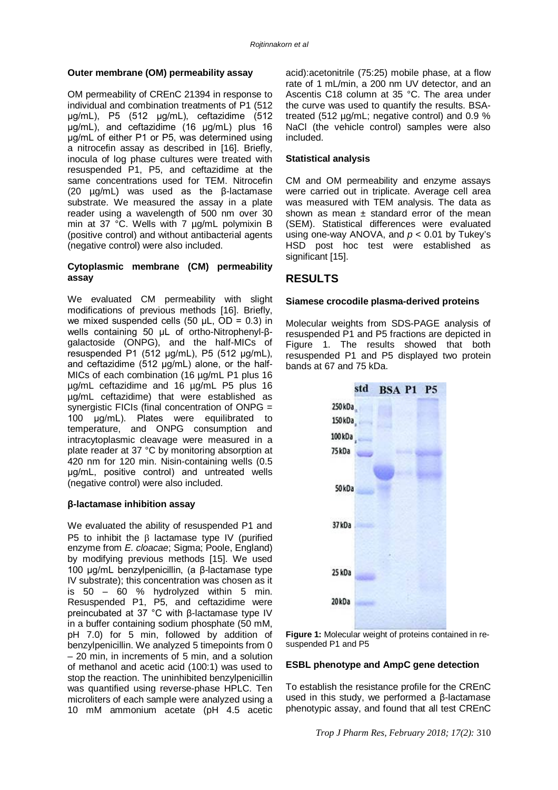## **Outer membrane (OM) permeability assay**

OM permeability of CREnC 21394 in response to individual and combination treatments of P1 (512 μg/mL), P5 (512 μg/mL), ceftazidime (512 μg/mL), and ceftazidime (16 μg/mL) plus 16 μg/mL of either P1 or P5, was determined using a nitrocefin assay as described in [16]. Briefly, inocula of log phase cultures were treated with resuspended P1, P5, and ceftazidime at the same concentrations used for TEM. Nitrocefin (20 µg/mL) was used as the β-lactamase substrate. We measured the assay in a plate reader using a wavelength of 500 nm over 30 min at 37 °C. Wells with 7 µg/mL polymixin B (positive control) and without antibacterial agents (negative control) were also included.

#### **Cytoplasmic membrane (CM) permeability assay**

We evaluated CM permeability with slight modifications of previous methods [16]. Briefly, we mixed suspended cells (50  $\mu$ L, OD = 0.3) in wells containing 50 μL of ortho-Nitrophenyl-βgalactoside (ONPG), and the half-MICs of resuspended P1 (512 μg/mL), P5 (512 μg/mL), and ceftazidime (512 μg/mL) alone, or the half-MICs of each combination (16 µg/mL P1 plus 16 µg/mL ceftazidime and 16 µg/mL P5 plus 16 µg/mL ceftazidime) that were established as synergistic FICIs (final concentration of ONPG = 100 μg/mL). Plates were equilibrated to temperature, and ONPG consumption and intracytoplasmic cleavage were measured in a plate reader at 37 °C by monitoring absorption at 420 nm for 120 min. Nisin-containing wells (0.5 μg/mL, positive control) and untreated wells (negative control) were also included.

## **β-lactamase inhibition assay**

We evaluated the ability of resuspended P1 and P5 to inhibit the  $\beta$  lactamase type IV (purified enzyme from *E. cloacae*; Sigma; Poole, England) by modifying previous methods [15]. We used 100 µg/mL benzylpenicillin, (a β-lactamase type IV substrate); this concentration was chosen as it is  $50 - 60$  % hydrolyzed within 5 min. Resuspended P1, P5, and ceftazidime were preincubated at 37 °C with β-lactamase type IV in a buffer containing sodium phosphate (50 mM, pH 7.0) for 5 min, followed by addition of benzylpenicillin. We analyzed 5 timepoints from 0 – 20 min, in increments of 5 min, and a solution of methanol and acetic acid (100:1) was used to stop the reaction. The uninhibited benzylpenicillin was quantified using reverse-phase HPLC. Ten microliters of each sample were analyzed using a 10 mM ammonium acetate (pH 4.5 acetic

acid):acetonitrile (75:25) mobile phase, at a flow rate of 1 mL/min, a 200 nm UV detector, and an Ascentis C18 column at 35 °C. The area under the curve was used to quantify the results. BSAtreated (512 µg/mL; negative control) and 0.9 % NaCl (the vehicle control) samples were also included.

#### **Statistical analysis**

CM and OM permeability and enzyme assays were carried out in triplicate. Average cell area was measured with TEM analysis. The data as shown as mean  $\pm$  standard error of the mean (SEM). Statistical differences were evaluated using one-way ANOVA, and *p* < 0.01 by Tukey's HSD post hoc test were established as significant [15].

## **RESULTS**

#### **Siamese crocodile plasma-derived proteins**

Molecular weights from SDS-PAGE analysis of resuspended P1 and P5 fractions are depicted in Figure 1. The results showed that both resuspended P1 and P5 displayed two protein bands at 67 and 75 kDa.



**Figure 1:** Molecular weight of proteins contained in resuspended P1 and P5

## **ESBL phenotype and AmpC gene detection**

To establish the resistance profile for the CREnC used in this study, we performed a β-lactamase phenotypic assay, and found that all test CREnC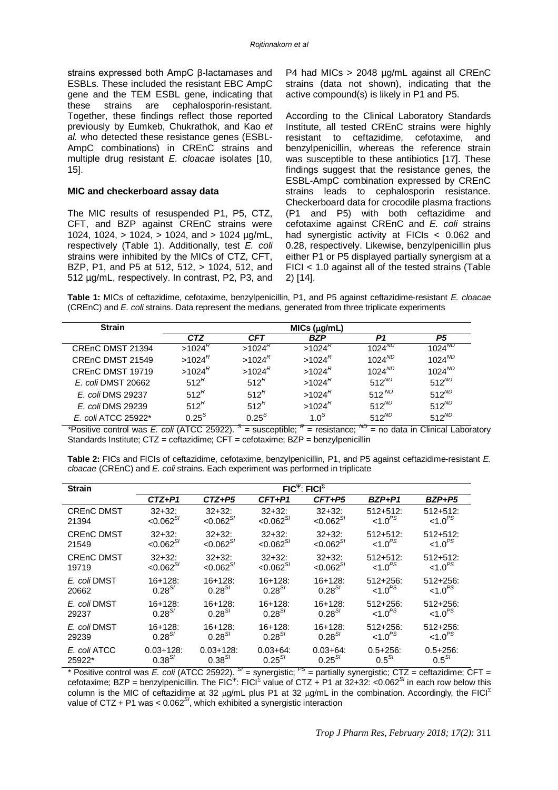strains expressed both AmpC β-lactamases and ESBLs. These included the resistant EBC AmpC gene and the TEM ESBL gene, indicating that these strains are cephalosporin-resistant. Together, these findings reflect those reported previously by Eumkeb, Chukrathok, and Kao *et al.* who detected these resistance genes (ESBL-AmpC combinations) in CREnC strains and multiple drug resistant *E. cloacae* isolates [10, 15].

#### **MIC and checkerboard assay data**

The MIC results of resuspended P1, P5, CTZ, CFT, and BZP against CREnC strains were 1024, 1024, > 1024, > 1024, and > 1024 µg/mL, respectively (Table 1). Additionally, test *E. coli* strains were inhibited by the MICs of CTZ, CFT, BZP, P1, and P5 at 512, 512, > 1024, 512, and 512 µg/mL, respectively. In contrast, P2, P3, and

P4 had MICs > 2048 µg/mL against all CREnC strains (data not shown), indicating that the active compound(s) is likely in P1 and P5.

According to the Clinical Laboratory Standards Institute, all tested CREnC strains were highly resistant to ceftazidime, cefotaxime, and benzylpenicillin, whereas the reference strain was susceptible to these antibiotics [17]. These findings suggest that the resistance genes, the ESBL-AmpC combination expressed by CREnC strains leads to cephalosporin resistance. Checkerboard data for crocodile plasma fractions (P1 and P5) with both ceftazidime and cefotaxime against CREnC and *E. coli* strains had synergistic activity at FICIs < 0.062 and 0.28, respectively. Likewise, benzylpenicillin plus either P1 or P5 displayed partially synergism at a FICI < 1.0 against all of the tested strains (Table 2) [14].

**Table 1:** MICs of ceftazidime, cefotaxime, benzylpenicillin, P1, and P5 against ceftazidime-resistant *E. cloacae* (CREnC) and *E. coli* strains. Data represent the medians, generated from three triplicate experiments

| <b>Strain</b>       | $MICs$ ( $\mu$ g/mL) |                                        |                        |             |                |  |  |  |
|---------------------|----------------------|----------------------------------------|------------------------|-------------|----------------|--|--|--|
|                     | <b>CTZ</b>           | <b>CFT</b>                             | <b>BZP</b>             | P1          | P <sub>5</sub> |  |  |  |
| CREnC DMST 21394    | $>1024^{\circ}$      | $>1024$ <sup><math>\kappa</math></sup> | $>1024^k$              | $1024^{ND}$ | $1024^{ND}$    |  |  |  |
| CREnC DMST 21549    | $>1024^R$            | $>1024^{\prime\prime}$                 | $>1024$ <sup>K</sup>   | $1024^{ND}$ | $1024^{ND}$    |  |  |  |
| CREnC DMST 19719    | $>1024^R$            | >1024 <sup>K</sup>                     | $>1024^{\circ}$        | $1024^{ND}$ | $1024^{ND}$    |  |  |  |
| E. coli DMST 20662  | 512 <sup>R</sup>     | 512 <sup>R</sup>                       | $>1024^{\prime\prime}$ | $512^{ND}$  | $512^{ND}$     |  |  |  |
| E. coli DMS 29237   | 512 <sup>R</sup>     | 512 <sup>R</sup>                       | $>1024^{\prime\prime}$ | 512 $ND$    | $512^{ND}$     |  |  |  |
| E. coli DMS 29239   | 512 <sup>R</sup>     | 512 <sup>K</sup>                       | $>1024^{\prime\prime}$ | $512^{ND}$  | $512^{ND}$     |  |  |  |
| E. coli ATCC 25922* | $0.25^{S}$           | $0.25^{S}$                             | 1.0 <sup>S</sup>       | $512^{ND}$  | $512^{ND}$     |  |  |  |

*\**Positive control was *E. coli* (ATCC 25922). *<sup>S</sup>* = susceptible; *<sup>R</sup>* = resistance; *ND* = no data in Clinical Laboratory Standards Institute; CTZ = ceftazidime; CFT = cefotaxime; BZP = benzylpenicillin

| Table 2: FICs and FICIs of ceftazidime, cefotaxime, benzylpenicillin, P1, and P5 against ceftazidime-resistant E. |  |
|-------------------------------------------------------------------------------------------------------------------|--|
| cloacae (CREnC) and E. coli strains. Each experiment was performed in triplicate                                  |  |

| <b>Strain</b>     | $FIC^{\Psi}$ : FICI <sup><math>\Sigma</math></sup> |                |                |               |                     |                     |  |
|-------------------|----------------------------------------------------|----------------|----------------|---------------|---------------------|---------------------|--|
|                   | $CTZ+P1$                                           | $CTZ + P5$     | $CFT+P1$       | $CFT+P5$      | BZP+P1              | BZP+P5              |  |
| <b>CREnC DMST</b> | $32+32:$                                           | $32+32:$       | $32+32:$       | $32 + 32$ :   | $512 + 512$         | $512 + 512$         |  |
| 21394             | $< 0.062^{S}$                                      | $< 0.062^{S}$  | $< 0.062^{S}$  | $< 0.062^{S}$ | $< 1.0^{PS}$        | $< 1.0^{PS}$        |  |
| <b>CREnC DMST</b> | $32+32:$                                           | $32+32:$       | $32+32:$       | $32 + 32$ :   | $512 + 512$         | $512 + 512$         |  |
| 21549             | ${<}0.062^{S}$                                     | ${<}0.062^{S}$ | ${<}0.062^{S}$ | $< 0.062^{S}$ | $< 1.0^{PS}$        | < 1.0 <sup>PS</sup> |  |
| <b>CREnC DMST</b> | $32 + 32$ :                                        | $32 + 32$ :    | $32+32:$       | $32+32:$      | $512 + 512$         | $512 + 512$         |  |
| 19719             | $< 0.062^{S}$                                      | $< 0.062^{S}$  | $< 0.062^{S}$  | $< 0.062^{S}$ | $< 1.0^{PS}$        | < 1.0 <sup>PS</sup> |  |
| E. coli DMST      | $16 + 128$                                         | $16+128$ :     | $16+128$ :     | $16+128$ :    | $512 + 256$ :       | $512 + 256$ :       |  |
| 20662             | $0.28^{S}$                                         | $0.28^{S}$     | $0.28^{S}$     | $0.28^{S}$    | $1.0^{PS}$          | < 1.0 <sup>PS</sup> |  |
| E. coli DMST      | $16+128$ :                                         | $16+128$ :     | $16+128$       | $16+128$ :    | $512 + 256$         | $512 + 256$ :       |  |
| 29237             | $0.28^{S}$                                         | $0.28^{S}$     | $0.28^{S}$     | $0.28^{S}$    | < 1.0 <sup>PS</sup> | < 1.0 <sup>PS</sup> |  |
| E. coli DMST      | $16+128$ :                                         | 16+128:        | $16+128$ :     | 16+128:       | $512 + 256$         | $512 + 256$ :       |  |
| 29239             | $0.28^{S}$                                         | $0.28^{S}$     | $0.28^{S}$     | $0.28^{S}$    | < 1.0 <sup>PS</sup> | < 1.0 <sup>PS</sup> |  |
| E. coli ATCC      | $0.03 + 128$                                       | $0.03 + 128$   | $0.03 + 64$ :  | $0.03 + 64$   | $0.5 + 256$ :       | $0.5 + 256$ :       |  |
| 25922*            | $0.38^{S}$                                         | $0.38^{S}$     | $0.25^{S}$     | $0.25^{S}$    | $0.5^{S}$           | $0.5^{S}$           |  |

*\** Positive control was *E. coli* (ATCC 25922). *SI* = synergistic; *PS* = partially synergistic; CTZ = ceftazidime; CFT = cefotaxime; BZP = benzylpenicillin. The FIC<sup>Ψ</sup>: FICI<sup>Σ</sup> value of CTZ + P1 at 32+32: <0.062<sup>S/</sup> in each row below this column is the MIC of ceftazidime at 32  $\mu q/mL$  plus P1 at 32  $\mu q/mL$  in the combination. Accordingly, the FICI<sup>E</sup> value of CTZ + P1 was < 0.062*SI* , which exhibited a synergistic interaction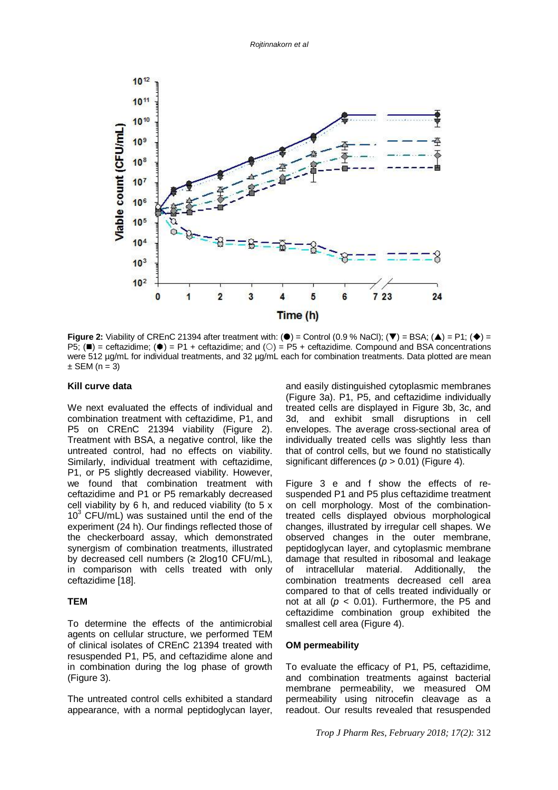

**Figure 2:** Viability of CREnC 21394 after treatment with: ( $\bullet$ ) = Control (0.9 % NaCl); ( $\blacktriangledown$ ) = BSA; ( $\blacktriangle$ ) = P1; ( $\blacklozenge$ ) =  $PS$ ; ( $\blacksquare$ ) = ceftazidime; ( $\blacklozenge$ ) = P1 + ceftazidime; and ( $\bigcirc$ ) = P5 + ceftazidime. Compound and BSA concentrations were 512 ug/mL for individual treatments, and 32 ug/mL each for combination treatments. Data plotted are mean  $\pm$  SEM (n = 3)

#### **Kill curve data**

We next evaluated the effects of individual and combination treatment with ceftazidime, P1, and P5 on CREnC 21394 viability (Figure 2). Treatment with BSA, a negative control, like the untreated control, had no effects on viability. Similarly, individual treatment with ceftazidime, P1, or P5 slightly decreased viability. However, we found that combination treatment with ceftazidime and P1 or P5 remarkably decreased cell viability by 6 h, and reduced viability (to 5 x  $10<sup>3</sup>$  CFU/mL) was sustained until the end of the experiment (24 h). Our findings reflected those of the checkerboard assay, which demonstrated synergism of combination treatments, illustrated by decreased cell numbers (≥ 2log10 CFU/mL), in comparison with cells treated with only ceftazidime [18].

#### **TEM**

To determine the effects of the antimicrobial agents on cellular structure, we performed TEM of clinical isolates of CREnC 21394 treated with resuspended P1, P5, and ceftazidime alone and in combination during the log phase of growth (Figure 3).

The untreated control cells exhibited a standard appearance, with a normal peptidoglycan layer,

and easily distinguished cytoplasmic membranes (Figure 3a). P1, P5, and ceftazidime individually treated cells are displayed in Figure 3b, 3c, and 3d, and exhibit small disruptions in cell envelopes. The average cross-sectional area of individually treated cells was slightly less than that of control cells, but we found no statistically significant differences (*p* > 0.01) (Figure 4).

Figure 3 e and f show the effects of resuspended P1 and P5 plus ceftazidime treatment on cell morphology. Most of the combinationtreated cells displayed obvious morphological changes, illustrated by irregular cell shapes. We observed changes in the outer membrane, peptidoglycan layer, and cytoplasmic membrane damage that resulted in ribosomal and leakage<br>of intracellular material. Additionally, the of intracellular material. Additionally, the combination treatments decreased cell area compared to that of cells treated individually or not at all  $(p < 0.01)$ . Furthermore, the P5 and ceftazidime combination group exhibited the smallest cell area (Figure 4).

#### **OM permeability**

To evaluate the efficacy of P1, P5, ceftazidime, and combination treatments against bacterial membrane permeability, we measured OM permeability using nitrocefin cleavage as a readout. Our results revealed that resuspended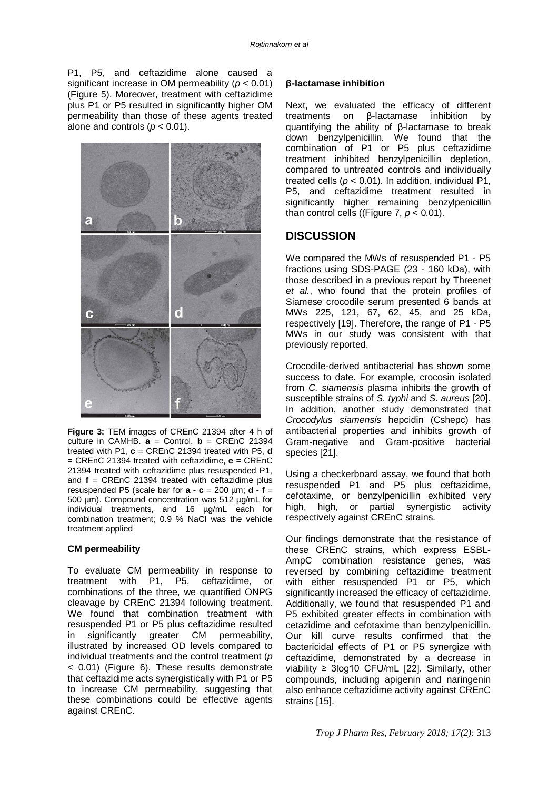P1, P5, and ceftazidime alone caused a significant increase in OM permeability (*p* < 0.01) (Figure 5). Moreover, treatment with ceftazidime plus P1 or P5 resulted in significantly higher OM permeability than those of these agents treated alone and controls  $(p < 0.01)$ .



**Figure 3:** TEM images of CREnC 21394 after 4 h of culture in CAMHB.  $\mathbf{a}$  = Control,  $\mathbf{b}$  = CREnC 21394 treated with P1, **c** = CREnC 21394 treated with P5, **d** = CREnC 21394 treated with ceftazidime, **e** = CREnC 21394 treated with ceftazidime plus resuspended P1, and **f** = CREnC 21394 treated with ceftazidime plus resuspended P5 (scale bar for  $\mathbf{a} \cdot \mathbf{c} = 200$  um;  $\mathbf{d} \cdot \mathbf{f} =$ 500 µm). Compound concentration was 512 µg/mL for individual treatments, and 16 µg/mL each for combination treatment; 0.9 % NaCl was the vehicle treatment applied

#### **CM permeability**

To evaluate CM permeability in response to treatment with P1, P5, ceftazidime, or combinations of the three, we quantified ONPG cleavage by CREnC 21394 following treatment. We found that combination treatment with resuspended P1 or P5 plus ceftazidime resulted<br>in significantly greater CM permeability. in significantly greater CM illustrated by increased OD levels compared to individual treatments and the control treatment (*p*  < 0.01) (Figure 6). These results demonstrate that ceftazidime acts synergistically with P1 or P5 to increase CM permeability, suggesting that these combinations could be effective agents against CREnC.

#### **β-lactamase inhibition**

Next, we evaluated the efficacy of different treatments on β-lactamase inhibition by quantifying the ability of β-lactamase to break down benzylpenicillin. We found that the combination of P1 or P5 plus ceftazidime treatment inhibited benzylpenicillin depletion, compared to untreated controls and individually treated cells ( $p < 0.01$ ). In addition, individual P1, P5, and ceftazidime treatment resulted in significantly higher remaining benzylpenicillin than control cells ((Figure  $7, p < 0.01$ ).

## **DISCUSSION**

We compared the MWs of resuspended P1 - P5 fractions using SDS-PAGE (23 - 160 kDa), with those described in a previous report by Threenet *et al.*, who found that the protein profiles of Siamese crocodile serum presented 6 bands at MWs 225, 121, 67, 62, 45, and 25 kDa, respectively [19]. Therefore, the range of P1 - P5 MWs in our study was consistent with that previously reported.

Crocodile-derived antibacterial has shown some success to date. For example, crocosin isolated from *C. siamensis* plasma inhibits the growth of susceptible strains of *S. typhi* and *S. aureus* [20]. In addition, another study demonstrated that *Crocodylus siamensis* hepcidin (Cshepc) has antibacterial properties and inhibits growth of Gram-negative and Gram-positive bacterial species [21].

Using a checkerboard assay, we found that both resuspended P1 and P5 plus ceftazidime, cefotaxime, or benzylpenicillin exhibited very high, high, or partial synergistic activity respectively against CREnC strains.

Our findings demonstrate that the resistance of these CREnC strains, which express ESBL-AmpC combination resistance genes, was reversed by combining ceftazidime treatment with either resuspended P1 or P5, which significantly increased the efficacy of ceftazidime. Additionally, we found that resuspended P1 and P5 exhibited greater effects in combination with cetazidime and cefotaxime than benzylpenicillin. Our kill curve results confirmed that the bactericidal effects of P1 or P5 synergize with ceftazidime, demonstrated by a decrease in viability ≥ 3log10 CFU/mL [22]. Similarly, other compounds, including apigenin and naringenin also enhance ceftazidime activity against CREnC strains [15].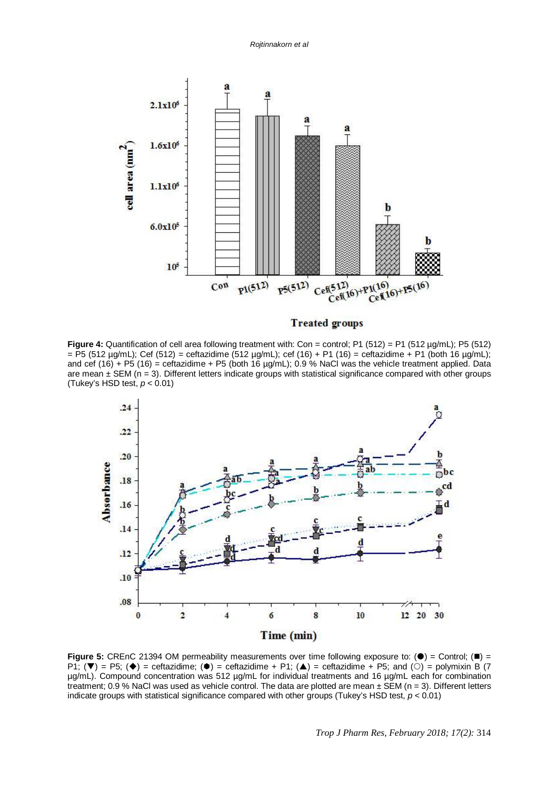

#### **Treated groups**

**Figure 4:** Quantification of cell area following treatment with: Con = control: P1 (512) = P1 (512 µg/mL); P5 (512)  $=$  P5 (512 µg/mL); Cef (512) = ceftazidime (512 µg/mL); cef (16) + P1 (16) = ceftazidime + P1 (both 16 µg/mL); and cef (16) + P5 (16) = ceftazidime + P5 (both 16  $\mu$ g/mL); 0.9 % NaCl was the vehicle treatment applied. Data are mean  $\pm$  SEM (n = 3). Different letters indicate groups with statistical significance compared with other groups (Tukey's HSD test, *p* < 0.01)



**Figure 5:** CREnC 21394 OM permeability measurements over time following exposure to:  $(\bullet)$  = Control;  $(\bullet)$  = P1;  $(\blacktriangledown)$  = P5;  $(\blacklozenge)$  = ceftazidime;  $(\blacklozenge)$  = ceftazidime + P1;  $(\blacktriangle)$  = ceftazidime + P5; and  $(\circ)$  = polymixin B (7 µg/mL). Compound concentration was 512 µg/mL for individual treatments and 16 µg/mL each for combination treatment; 0.9 % NaCl was used as vehicle control. The data are plotted are mean ± SEM (n = 3). Different letters indicate groups with statistical significance compared with other groups (Tukey's HSD test, *p* < 0.01)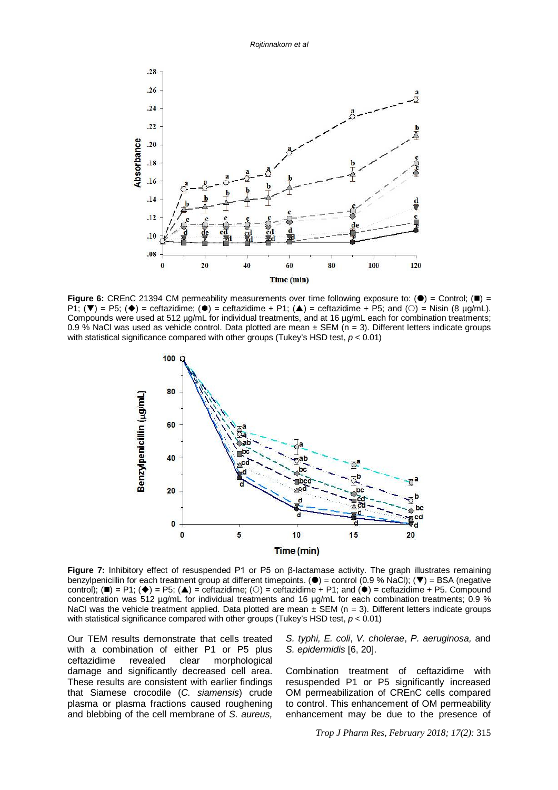

**Figure 6:** CREnC 21394 CM permeability measurements over time following exposure to:  $(\bullet)$  = Control;  $(\bullet)$  =  $P1$ ; ( $\nabla$ ) = P5; ( $\Leftrightarrow$ ) = ceftazidime; ( $\Leftrightarrow$ ) = ceftazidime + P1; ( $\triangle$ ) = ceftazidime + P5; and ( $\odot$ ) = Nisin (8 µg/mL). Compounds were used at 512 µg/mL for individual treatments, and at 16 µg/mL each for combination treatments; 0.9 % NaCl was used as vehicle control. Data plotted are mean  $\pm$  SEM (n = 3). Different letters indicate groups with statistical significance compared with other groups (Tukey's HSD test, *p* < 0.01)



**Figure 7:** Inhibitory effect of resuspended P1 or P5 on β-lactamase activity. The graph illustrates remaining benzylpenicillin for each treatment group at different timepoints. ( $\bullet$ ) = control (0.9 % NaCl); ( $\blacktriangledown$ ) = BSA (negative control); ( $\blacksquare$ ) = P1; ( $\blacklozenge$ ) = P5; ( $\blacktriangle$ ) = ceftazidime; ( $\bigcirc$ ) = ceftazidime + P1; and ( $\blacklozenge$ ) = ceftazidime + P5. Compound concentration was 512 µg/mL for individual treatments and 16 µg/mL for each combination treatments; 0.9 % NaCl was the vehicle treatment applied. Data plotted are mean  $\pm$  SEM (n = 3). Different letters indicate groups with statistical significance compared with other groups (Tukey's HSD test, *p* < 0.01)

Our TEM results demonstrate that cells treated with a combination of either P1 or P5 plus ceftazidime revealed clear morphological damage and significantly decreased cell area. These results are consistent with earlier findings that Siamese crocodile (*C. siamensis*) crude plasma or plasma fractions caused roughening and blebbing of the cell membrane of *S. aureus,* 

*S. typhi, E. coli*, *V. cholerae*, *P. aeruginosa,* and *S. epidermidis* [6, 20].

Combination treatment of ceftazidime with resuspended P1 or P5 significantly increased OM permeabilization of CREnC cells compared to control. This enhancement of OM permeability enhancement may be due to the presence of

*Trop J Pharm Res, February 2018; 17(2):* 315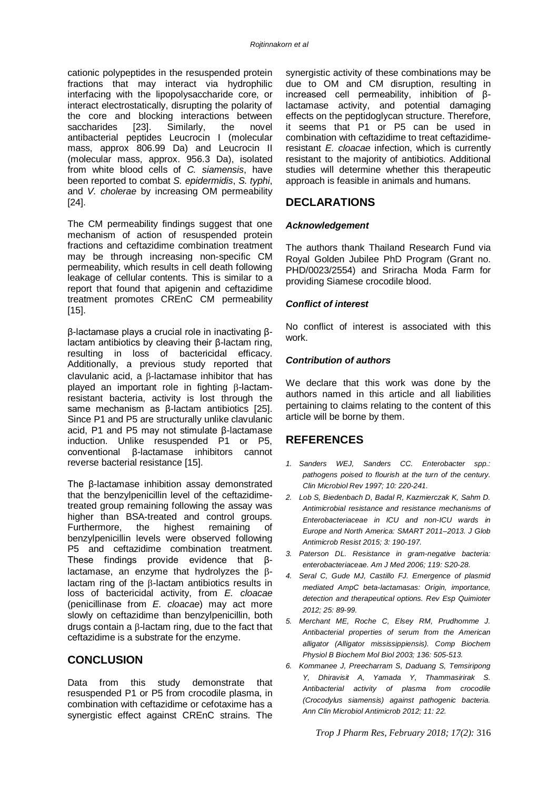cationic polypeptides in the resuspended protein fractions that may interact via hydrophilic interfacing with the lipopolysaccharide core, or interact electrostatically, disrupting the polarity of the core and blocking interactions between saccharides [23]. Similarly, the novel antibacterial peptides Leucrocin I (molecular mass, approx 806.99 Da) and Leucrocin II (molecular mass, approx. 956.3 Da), isolated from white blood cells of *C. siamensis*, have been reported to combat *S. epidermidis*, *S. typhi*, and *V. cholerae* by increasing OM permeability [24].

The CM permeability findings suggest that one mechanism of action of resuspended protein fractions and ceftazidime combination treatment may be through increasing non-specific CM permeability, which results in cell death following leakage of cellular contents. This is similar to a report that found that apigenin and ceftazidime treatment promotes CREnC CM permeability  $[15]$ .

β-lactamase plays a crucial role in inactivating βlactam antibiotics by cleaving their β-lactam ring, resulting in loss of bactericidal efficacy. Additionally, a previous study reported that  $clavulanic acid, a  $\beta$ -lactase inhibitor that has$ played an important role in fighting B-lactamresistant bacteria, activity is lost through the same mechanism as β-lactam antibiotics [25]. Since P1 and P5 are structurally unlike clavulanic acid, P1 and P5 may not stimulate β-lactamase induction. Unlike resuspended P1 or P5, conventional β-lactamase inhibitors cannot reverse bacterial resistance [15].

The β-lactamase inhibition assay demonstrated that the benzylpenicillin level of the ceftazidimetreated group remaining following the assay was higher than BSA-treated and control groups. Furthermore, the highest remaining of benzylpenicillin levels were observed following P5 and ceftazidime combination treatment. These findings provide evidence that βlactamase, an enzyme that hydrolyzes the  $\beta$ lactam ring of the  $\beta$ -lactam antibiotics results in loss of bactericidal activity, from *E. cloacae* (penicillinase from *E. cloacae*) may act more slowly on ceftazidime than benzylpenicillin, both drugs contain a  $\beta$ -lactam ring, due to the fact that ceftazidime is a substrate for the enzyme.

## **CONCLUSION**

Data from this study demonstrate that resuspended P1 or P5 from crocodile plasma, in combination with ceftazidime or cefotaxime has a synergistic effect against CREnC strains. The

synergistic activity of these combinations may be due to OM and CM disruption, resulting in increased cell permeability, inhibition of βlactamase activity, and potential damaging effects on the peptidoglycan structure. Therefore, it seems that P1 or P5 can be used in combination with ceftazidime to treat ceftazidimeresistant *E. cloacae* infection, which is currently resistant to the majority of antibiotics. Additional studies will determine whether this therapeutic approach is feasible in animals and humans.

## **DECLARATIONS**

#### *Acknowledgement*

The authors thank Thailand Research Fund via Royal Golden Jubilee PhD Program (Grant no. PHD/0023/2554) and Sriracha Moda Farm for providing Siamese crocodile blood.

#### *Conflict of interest*

No conflict of interest is associated with this work.

#### *Contribution of authors*

We declare that this work was done by the authors named in this article and all liabilities pertaining to claims relating to the content of this article will be borne by them.

## **REFERENCES**

- *1. Sanders WEJ, Sanders CC. Enterobacter spp.: pathogens poised to flourish at the turn of the century. Clin Microbiol Rev 1997; 10: 220-241.*
- *2. Lob S, Biedenbach D, Badal R, Kazmierczak K, Sahm D. Antimicrobial resistance and resistance mechanisms of Enterobacteriaceae in ICU and non-ICU wards in Europe and North America: SMART 2011–2013. J Glob Antimicrob Resist 2015; 3: 190-197.*
- *3. Paterson DL. Resistance in gram-negative bacteria: enterobacteriaceae. Am J Med 2006; 119: S20-28.*
- *4. Seral C, Gude MJ, Castillo FJ. Emergence of plasmid mediated AmpC beta-lactamasas: Origin, importance, detection and therapeutical options. Rev Esp Quimioter 2012; 25: 89-99.*
- *5. Merchant ME, Roche C, Elsey RM, Prudhomme J. Antibacterial properties of serum from the American alligator (Alligator mississippiensis). Comp Biochem Physiol B Biochem Mol Biol 2003; 136: 505-513.*
- *6. Kommanee J, Preecharram S, Daduang S, Temsiripong Y, Dhiravisit A, Yamada Y, Thammasirirak S. Antibacterial activity of plasma from crocodile (Crocodylus siamensis) against pathogenic bacteria. Ann Clin Microbiol Antimicrob 2012; 11: 22.*

*Trop J Pharm Res, February 2018; 17(2):* 316